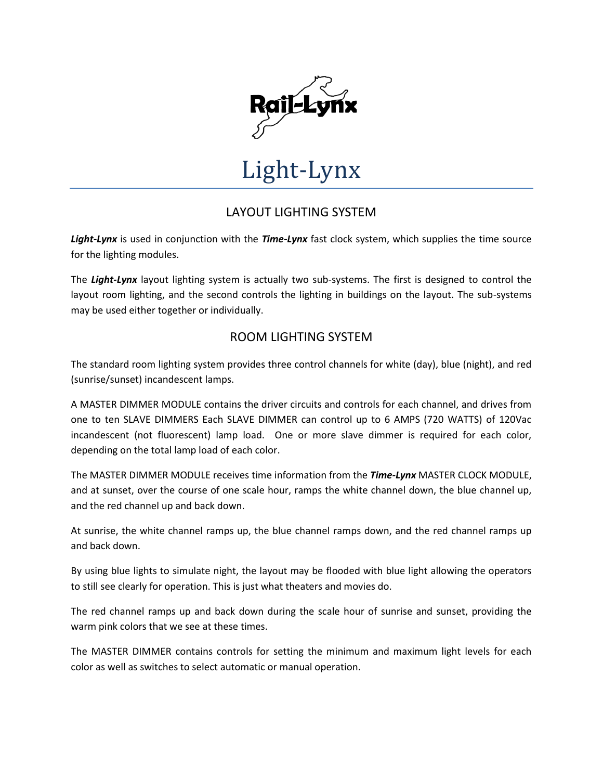

# Light-Lynx

## LAYOUT LIGHTING SYSTEM

*Light-Lynx* is used in conjunction with the *Time-Lynx* fast clock system, which supplies the time source for the lighting modules.

The *Light-Lynx* layout lighting system is actually two sub-systems. The first is designed to control the layout room lighting, and the second controls the lighting in buildings on the layout. The sub-systems may be used either together or individually.

### ROOM LIGHTING SYSTEM

The standard room lighting system provides three control channels for white (day), blue (night), and red (sunrise/sunset) incandescent lamps.

A MASTER DIMMER MODULE contains the driver circuits and controls for each channel, and drives from one to ten SLAVE DIMMERS Each SLAVE DIMMER can control up to 6 AMPS (720 WATTS) of 120Vac incandescent (not fluorescent) lamp load. One or more slave dimmer is required for each color, depending on the total lamp load of each color.

The MASTER DIMMER MODULE receives time information from the *Time-Lynx* MASTER CLOCK MODULE, and at sunset, over the course of one scale hour, ramps the white channel down, the blue channel up, and the red channel up and back down.

At sunrise, the white channel ramps up, the blue channel ramps down, and the red channel ramps up and back down.

By using blue lights to simulate night, the layout may be flooded with blue light allowing the operators to still see clearly for operation. This is just what theaters and movies do.

The red channel ramps up and back down during the scale hour of sunrise and sunset, providing the warm pink colors that we see at these times.

The MASTER DIMMER contains controls for setting the minimum and maximum light levels for each color as well as switches to select automatic or manual operation.